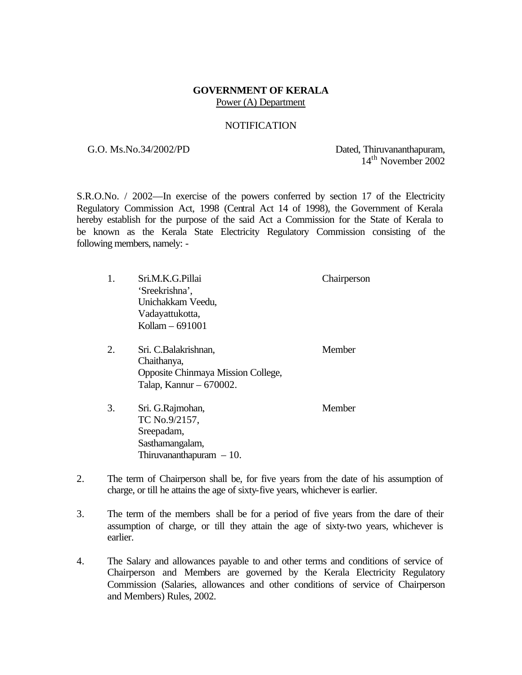## **GOVERNMENT OF KERALA** Power (A) Department

## NOTIFICATION

G.O. Ms.No.34/2002/PD Dated, Thiruvananthapuram, 14th November 2002

S.R.O.No. / 2002—In exercise of the powers conferred by section 17 of the Electricity Regulatory Commission Act, 1998 (Central Act 14 of 1998), the Government of Kerala hereby establish for the purpose of the said Act a Commission for the State of Kerala to be known as the Kerala State Electricity Regulatory Commission consisting of the following members, namely: -

|    | Sri.M.K.G.Pillai<br>'Sreekrishna',<br>Unichakkam Veedu,<br>Vadayattukotta,<br>Kollam - 691001          | Chairperson |
|----|--------------------------------------------------------------------------------------------------------|-------------|
| 2. | Sri. C.Balakrishnan,<br>Chaithanya,<br>Opposite Chinmaya Mission College,<br>Talap, Kannur $-670002$ . | Member      |
| 3. | Sri. G.Rajmohan,<br>TC No.9/2157,<br>Sreepadam,<br>Sasthamangalam,<br>Thiruvananthapuram $-10$ .       | Member      |

- 2. The term of Chairperson shall be, for five years from the date of his assumption of charge, or till he attains the age of sixty-five years, whichever is earlier.
- 3. The term of the members shall be for a period of five years from the dare of their assumption of charge, or till they attain the age of sixty-two years, whichever is earlier.
- 4. The Salary and allowances payable to and other terms and conditions of service of Chairperson and Members are governed by the Kerala Electricity Regulatory Commission (Salaries, allowances and other conditions of service of Chairperson and Members) Rules, 2002.